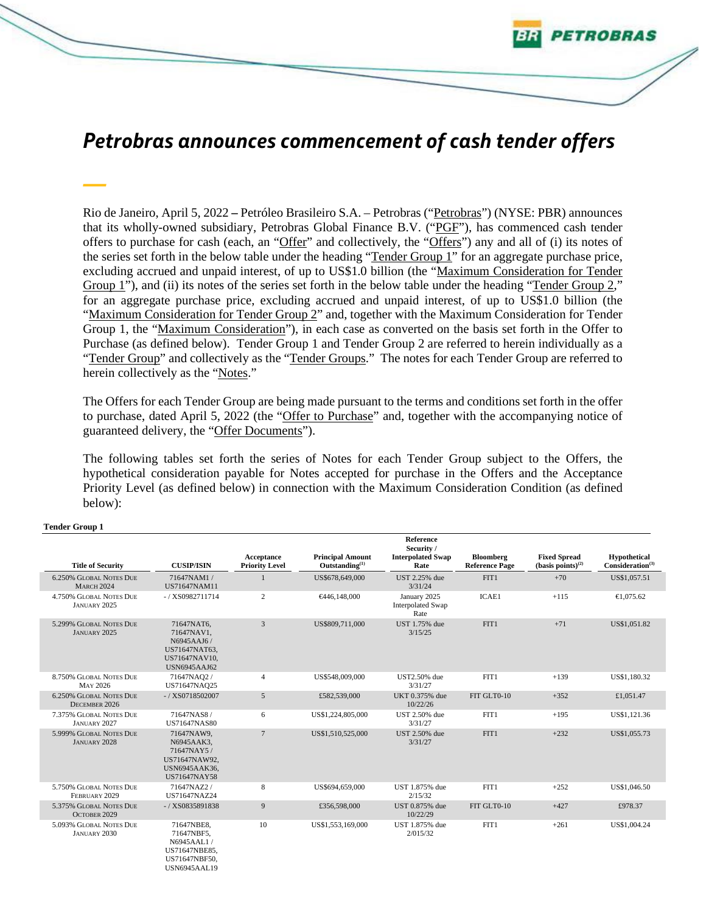# *Petrobras announces commencement of cash tender offers*

Etrobras

Rio de Janeiro, April 5, 2022 **–** Petróleo Brasileiro S.A. – Petrobras ("Petrobras") (NYSE: PBR) announces that its wholly-owned subsidiary, Petrobras Global Finance B.V. ("PGF"), has commenced cash tender offers to purchase for cash (each, an "Offer" and collectively, the "Offers") any and all of (i) its notes of the series set forth in the below table under the heading "Tender Group 1" for an aggregate purchase price, excluding accrued and unpaid interest, of up to US\$1.0 billion (the "Maximum Consideration for Tender Group 1"), and (ii) its notes of the series set forth in the below table under the heading "Tender Group 2," for an aggregate purchase price, excluding accrued and unpaid interest, of up to US\$1.0 billion (the "Maximum Consideration for Tender Group 2" and, together with the Maximum Consideration for Tender Group 1, the "Maximum Consideration"), in each case as converted on the basis set forth in the Offer to Purchase (as defined below). Tender Group 1 and Tender Group 2 are referred to herein individually as a "Tender Group" and collectively as the "Tender Groups." The notes for each Tender Group are referred to herein collectively as the "Notes."

The Offers for each Tender Group are being made pursuant to the terms and conditions set forth in the offer to purchase, dated April 5, 2022 (the "Offer to Purchase" and, together with the accompanying notice of guaranteed delivery, the "Offer Documents").

The following tables set forth the series of Notes for each Tender Group subject to the Offers, the hypothetical consideration payable for Notes accepted for purchase in the Offers and the Acceptance Priority Level (as defined below) in connection with the Maximum Consideration Condition (as defined below):

|                                                     |                                                                                                 | Acceptance            | <b>Principal Amount</b> | Reference<br>Security /<br><b>Interpolated Swap</b> | Bloomberg             | <b>Fixed Spread</b>     | Hypothetical                 |
|-----------------------------------------------------|-------------------------------------------------------------------------------------------------|-----------------------|-------------------------|-----------------------------------------------------|-----------------------|-------------------------|------------------------------|
| <b>Title of Security</b>                            | <b>CUSIP/ISIN</b>                                                                               | <b>Priority Level</b> | Outstanding $^{(1)}$    | Rate                                                | <b>Reference Page</b> | (basis points) $^{(2)}$ | Consideration <sup>(3)</sup> |
| <b>6.250% GLOBAL NOTES DUE</b><br><b>MARCH 2024</b> | 71647NAM1/<br>US71647NAM11                                                                      |                       | US\$678,649,000         | <b>UST 2.25% due</b><br>3/31/24                     | FIT1                  | $+70$                   | US\$1,057.51                 |
| 4.750% GLOBAL NOTES DUE<br>JANUARY 2025             | $- / XS0982711714$                                                                              | $\mathbf{2}$          | €446,148,000            | January 2025<br><b>Interpolated Swap</b><br>Rate    | <b>ICAE1</b>          | $+115$                  | $\bigoplus$ , 075.62         |
| 5.299% GLOBAL NOTES DUE<br>JANUARY 2025             | 71647NAT6,<br>71647NAV1.<br>N6945AAJ6/<br>US71647NAT63.<br>US71647NAV10.<br><b>USN6945AAJ62</b> | $\overline{3}$        | US\$809,711,000         | UST 1.75% due<br>3/15/25                            | FIT1                  | $+71$                   | US\$1,051.82                 |
| 8.750% GLOBAL NOTES DUE<br>MAY 2026                 | 71647NAQ2/<br>US71647NAQ25                                                                      | $\overline{4}$        | US\$548,009,000         | <b>UST2.50%</b> due<br>3/31/27                      | FIT1                  | $+139$                  | US\$1,180.32                 |
| 6.250% GLOBAL NOTES DUE<br>DECEMBER 2026            | $-$ / XS0718502007                                                                              | $\mathfrak{S}$        | £582,539,000            | UKT 0.375% due<br>10/22/26                          | FIT GLT0-10           | $+352$                  | £1,051.47                    |
| 7.375% GLOBAL NOTES DUE<br>JANUARY 2027             | 71647NAS8 /<br><b>US71647NAS80</b>                                                              | 6                     | US\$1,224,805,000       | UST 2.50% due<br>3/31/27                            | FIT1                  | $+195$                  | US\$1,121.36                 |
| 5.999% GLOBAL NOTES DUE<br><b>JANUARY 2028</b>      | 71647NAW9,<br>N6945AAK3.<br>71647NAY5/<br>US71647NAW92.<br>USN6945AAK36.<br><b>US71647NAY58</b> | $\overline{7}$        | US\$1,510,525,000       | UST 2.50% due<br>3/31/27                            | FIT1                  | $+232$                  | US\$1,055.73                 |
| 5.750% GLOBAL NOTES DUE<br>FEBRUARY 2029            | 71647NAZ2/<br>US71647NAZ24                                                                      | $\,$ 8 $\,$           | US\$694,659,000         | UST 1.875% due<br>2/15/32                           | FIT1                  | $+252$                  | US\$1,046.50                 |
| 5.375% GLOBAL NOTES DUE<br>OCTOBER 2029             | $-/$ XS0835891838                                                                               | 9                     | £356,598,000            | UST 0.875% due<br>10/22/29                          | FIT GLT0-10           | $+427$                  | £978.37                      |
| 5.093% GLOBAL NOTES DUE<br>JANUARY 2030             | 71647NBE8,<br>71647NBF5.<br>N6945AAL1/<br>US71647NBE85,<br>US71647NBF50.<br><b>USN6945AAL19</b> | 10                    | US\$1,553,169,000       | UST 1.875% due<br>2/015/32                          | FIT1                  | $+261$                  | US\$1,004.24                 |

### **Tender Group 1**

*—*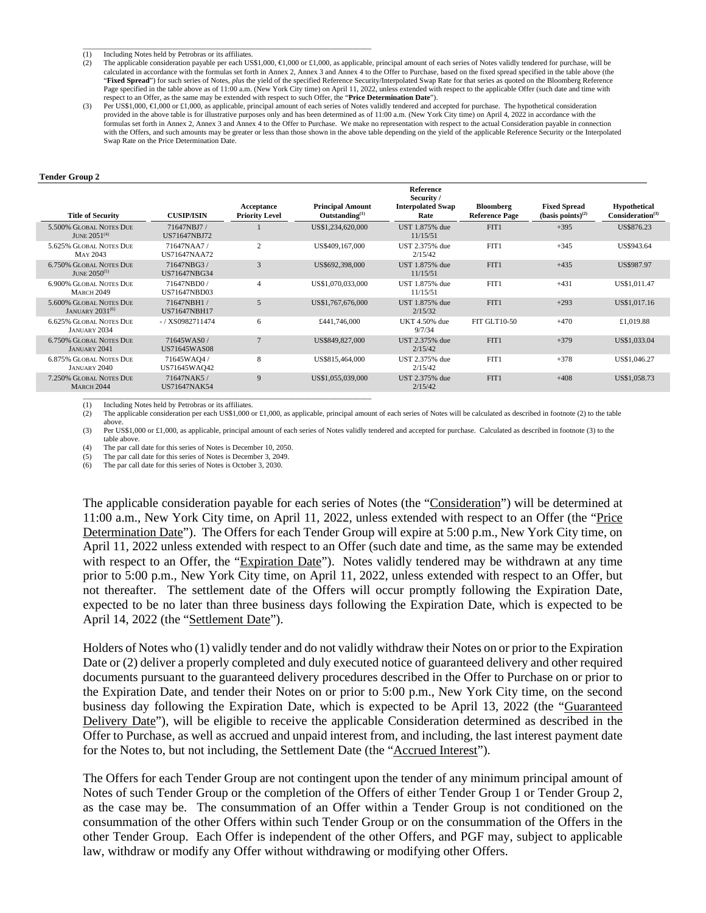\_\_\_\_\_\_\_\_\_\_\_\_\_\_\_\_\_\_\_\_\_\_\_\_\_\_\_\_\_\_\_\_\_\_\_\_\_\_\_\_\_\_\_\_\_\_\_\_\_\_\_\_\_\_\_\_\_\_\_\_\_\_\_\_\_\_\_\_\_\_\_\_\_\_\_\_\_ (1) Including Notes held by Petrobras or its affiliates.

- (2) The applicable consideration payable per each US\$1,000, €1,000 or £1,000, as applicable, principal amount of each series of Notes validly tendered for purchase, will be calculated in accordance with the formulas set forth in Annex 2, Annex 3 and Annex 4 to the Offer to Purchase, based on the fixed spread specified in the table above (the "**Fixed Spread**") for such series of Notes, *plus* the yield of the specified Reference Security/Interpolated Swap Rate for that series as quoted on the Bloomberg Reference Page specified in the table above as of 11:00 a.m. (New York City time) on April 11, 2022, unless extended with respect to the applicable Offer (such date and time with respect to an Offer, as the same may be extended with respect to such Offer, the "**Price Determination Date**").
- (3) Per US\$1,000, €1,000 or £1,000, as applicable, principal amount of each series of Notes validly tendered and accepted for purchase. The hypothetical consideration provided in the above table is for illustrative purposes only and has been determined as of 11:00 a.m. (New York City time) on April 4, 2022 in accordance with the formulas set forth in Annex 2, Annex 3 and Annex 4 to the Offer to Purchase. We make no representation with respect to the actual Consideration payable in connection with the Offers, and such amounts may be greater or less than those shown in the above table depending on the yield of the applicable Reference Security or the Interpolated Swap Rate on the Price Determination Date.

#### **Tender Group 2**

| <b>Title of Security</b>                                     | <b>CUSIP/ISIN</b>                  | Acceptance<br><b>Priority Level</b> | <b>Principal Amount</b><br>Outstanding <sup>(1)</sup> | <b>Reference</b><br>Security /<br><b>Interpolated Swap</b><br>Rate | Bloomberg<br><b>Reference Page</b> | <b>Fixed Spread</b><br>$(basis points)^{(2)}$ | <b>Hypothetical</b><br>Consideration <sup>(3)</sup> |
|--------------------------------------------------------------|------------------------------------|-------------------------------------|-------------------------------------------------------|--------------------------------------------------------------------|------------------------------------|-----------------------------------------------|-----------------------------------------------------|
| 5.500% GLOBAL NOTES DUE<br>JUNE $2051^{(4)}$                 | 71647NBJ7/<br>US71647NBJ72         |                                     | US\$1,234,620,000                                     | UST 1.875% due<br>11/15/51                                         | FIT1                               | $+395$                                        | US\$876.23                                          |
| 5.625% GLOBAL NOTES DUE<br>MAY 2043                          | 71647NAA7/<br><b>US71647NAA72</b>  | 2                                   | US\$409,167,000                                       | UST 2.375% due<br>2/15/42                                          | FIT1                               | $+345$                                        | US\$943.64                                          |
| <b>6.750% GLOBAL NOTES DUE</b><br>JUNE $2050^{(5)}$          | 71647NBG3/<br>US71647NBG34         | 3                                   | US\$692,398,000                                       | UST 1.875% due<br>11/15/51                                         | FIT1                               | $+435$                                        | US\$987.97                                          |
| <b>6.900% GLOBAL NOTES DUE</b><br><b>MARCH 2049</b>          | 71647NBD0/<br><b>US71647NBD03</b>  | 4                                   | US\$1,070,033,000                                     | UST 1.875% due<br>11/15/51                                         | FIT1                               | $+431$                                        | US\$1,011.47                                        |
| 5.600% GLOBAL NOTES DUE<br><b>JANUARY 2031<sup>(6)</sup></b> | 71647NBH1 /<br><b>US71647NBH17</b> | 5                                   | US\$1,767,676,000                                     | UST 1.875% due<br>2/15/32                                          | FIT1                               | $+293$                                        | US\$1,017.16                                        |
| <b>6.625% GLOBAL NOTES DUE</b><br><b>JANUARY 2034</b>        | $- / XSO982711474$                 | 6                                   | £441,746,000                                          | UKT 4.50% due<br>9/7/34                                            | <b>FIT GLT10-50</b>                | $+470$                                        | £1,019.88                                           |
| <b>6.750% GLOBAL NOTES DUE</b><br><b>JANUARY 2041</b>        | 71645WAS0/<br><b>US71645WAS08</b>  | $\overline{7}$                      | US\$849,827,000                                       | UST 2.375% due<br>2/15/42                                          | FIT1                               | $+379$                                        | US\$1,033.04                                        |
| <b>6.875% GLOBAL NOTES DUE</b><br>JANUARY 2040               | 71645WAQ4/<br>US71645WAQ42         | 8                                   | US\$815,464,000                                       | UST 2.375% due<br>2/15/42                                          | FIT1                               | $+378$                                        | US\$1,046.27                                        |
| 7.250% GLOBAL NOTES DUE<br><b>MARCH 2044</b>                 | 71647NAK5 /<br>US71647NAK54        | 9                                   | US\$1,055,039,000                                     | UST 2.375% due<br>2/15/42                                          | FIT1                               | $+408$                                        | US\$1,058.73                                        |
|                                                              |                                    |                                     |                                                       |                                                                    |                                    |                                               |                                                     |

(1) Including Notes held by Petrobras or its affiliates.<br>(2) The applicable consideration per each US\$1,000

The applicable consideration per each US\$1,000 or  $\text{\pounds}1,000$ , as applicable, principal amount of each series of Notes will be calculated as described in footnote (2) to the table above.

(3) Per US\$1,000 or £1,000, as applicable, principal amount of each series of Notes validly tendered and accepted for purchase. Calculated as described in footnote (3) to the table above.

(4) The par call date for this series of Notes is December 10, 2050.

(5) The par call date for this series of Notes is December 3, 2049. The par call date for this series of Notes is October 3, 2030.

The applicable consideration payable for each series of Notes (the "Consideration") will be determined at 11:00 a.m., New York City time, on April 11, 2022, unless extended with respect to an Offer (the "Price Determination Date"). The Offers for each Tender Group will expire at 5:00 p.m., New York City time, on April 11, 2022 unless extended with respect to an Offer (such date and time, as the same may be extended with respect to an Offer, the "Expiration Date"). Notes validly tendered may be withdrawn at any time prior to 5:00 p.m., New York City time, on April 11, 2022, unless extended with respect to an Offer, but not thereafter. The settlement date of the Offers will occur promptly following the Expiration Date, expected to be no later than three business days following the Expiration Date, which is expected to be April 14, 2022 (the "Settlement Date").

Holders of Notes who (1) validly tender and do not validly withdraw their Notes on or prior to the Expiration Date or (2) deliver a properly completed and duly executed notice of guaranteed delivery and other required documents pursuant to the guaranteed delivery procedures described in the Offer to Purchase on or prior to the Expiration Date, and tender their Notes on or prior to 5:00 p.m., New York City time, on the second business day following the Expiration Date, which is expected to be April 13, 2022 (the "Guaranteed Delivery Date"), will be eligible to receive the applicable Consideration determined as described in the Offer to Purchase, as well as accrued and unpaid interest from, and including, the last interest payment date for the Notes to, but not including, the Settlement Date (the "Accrued Interest").

The Offers for each Tender Group are not contingent upon the tender of any minimum principal amount of Notes of such Tender Group or the completion of the Offers of either Tender Group 1 or Tender Group 2, as the case may be. The consummation of an Offer within a Tender Group is not conditioned on the consummation of the other Offers within such Tender Group or on the consummation of the Offers in the other Tender Group. Each Offer is independent of the other Offers, and PGF may, subject to applicable law, withdraw or modify any Offer without withdrawing or modifying other Offers.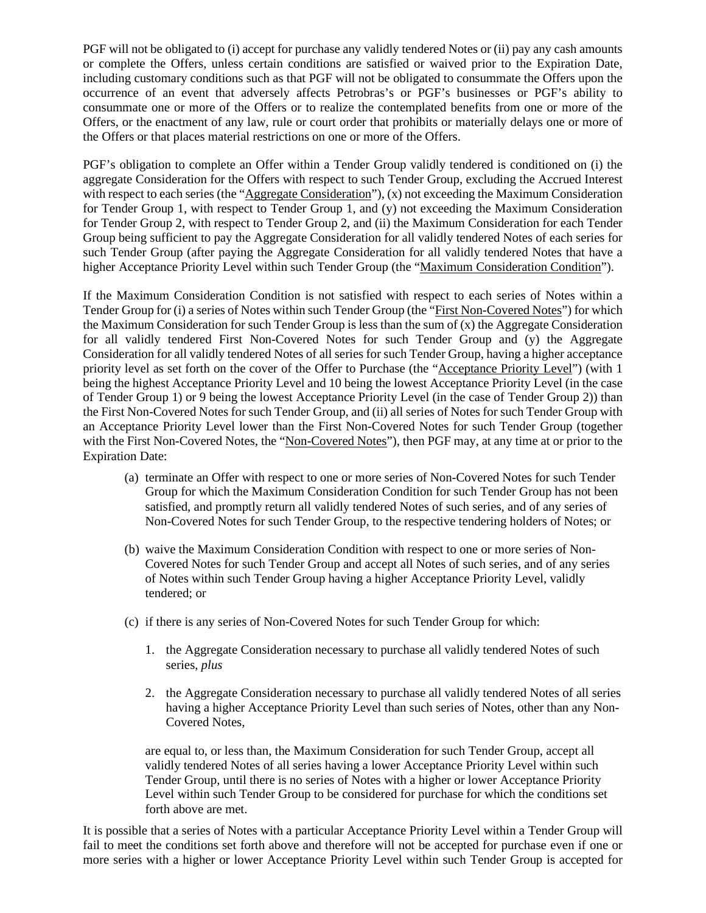PGF will not be obligated to (i) accept for purchase any validly tendered Notes or (ii) pay any cash amounts or complete the Offers, unless certain conditions are satisfied or waived prior to the Expiration Date, including customary conditions such as that PGF will not be obligated to consummate the Offers upon the occurrence of an event that adversely affects Petrobras's or PGF's businesses or PGF's ability to consummate one or more of the Offers or to realize the contemplated benefits from one or more of the Offers, or the enactment of any law, rule or court order that prohibits or materially delays one or more of the Offers or that places material restrictions on one or more of the Offers.

PGF's obligation to complete an Offer within a Tender Group validly tendered is conditioned on (i) the aggregate Consideration for the Offers with respect to such Tender Group, excluding the Accrued Interest with respect to each series (the "Aggregate Consideration"), (x) not exceeding the Maximum Consideration for Tender Group 1, with respect to Tender Group 1, and (y) not exceeding the Maximum Consideration for Tender Group 2, with respect to Tender Group 2, and (ii) the Maximum Consideration for each Tender Group being sufficient to pay the Aggregate Consideration for all validly tendered Notes of each series for such Tender Group (after paying the Aggregate Consideration for all validly tendered Notes that have a higher Acceptance Priority Level within such Tender Group (the "Maximum Consideration Condition").

If the Maximum Consideration Condition is not satisfied with respect to each series of Notes within a Tender Group for (i) a series of Notes within such Tender Group (the "First Non-Covered Notes") for which the Maximum Consideration for such Tender Group is less than the sum of (x) the Aggregate Consideration for all validly tendered First Non-Covered Notes for such Tender Group and (y) the Aggregate Consideration for all validly tendered Notes of all series for such Tender Group, having a higher acceptance priority level as set forth on the cover of the Offer to Purchase (the "Acceptance Priority Level") (with 1 being the highest Acceptance Priority Level and 10 being the lowest Acceptance Priority Level (in the case of Tender Group 1) or 9 being the lowest Acceptance Priority Level (in the case of Tender Group 2)) than the First Non-Covered Notes for such Tender Group, and (ii) all series of Notes for such Tender Group with an Acceptance Priority Level lower than the First Non-Covered Notes for such Tender Group (together with the First Non-Covered Notes, the "Non-Covered Notes"), then PGF may, at any time at or prior to the Expiration Date:

- (a) terminate an Offer with respect to one or more series of Non-Covered Notes for such Tender Group for which the Maximum Consideration Condition for such Tender Group has not been satisfied, and promptly return all validly tendered Notes of such series, and of any series of Non-Covered Notes for such Tender Group, to the respective tendering holders of Notes; or
- (b) waive the Maximum Consideration Condition with respect to one or more series of Non-Covered Notes for such Tender Group and accept all Notes of such series, and of any series of Notes within such Tender Group having a higher Acceptance Priority Level, validly tendered; or
- (c) if there is any series of Non-Covered Notes for such Tender Group for which:
	- 1. the Aggregate Consideration necessary to purchase all validly tendered Notes of such series, *plus*
	- 2. the Aggregate Consideration necessary to purchase all validly tendered Notes of all series having a higher Acceptance Priority Level than such series of Notes, other than any Non-Covered Notes,

are equal to, or less than, the Maximum Consideration for such Tender Group, accept all validly tendered Notes of all series having a lower Acceptance Priority Level within such Tender Group, until there is no series of Notes with a higher or lower Acceptance Priority Level within such Tender Group to be considered for purchase for which the conditions set forth above are met.

It is possible that a series of Notes with a particular Acceptance Priority Level within a Tender Group will fail to meet the conditions set forth above and therefore will not be accepted for purchase even if one or more series with a higher or lower Acceptance Priority Level within such Tender Group is accepted for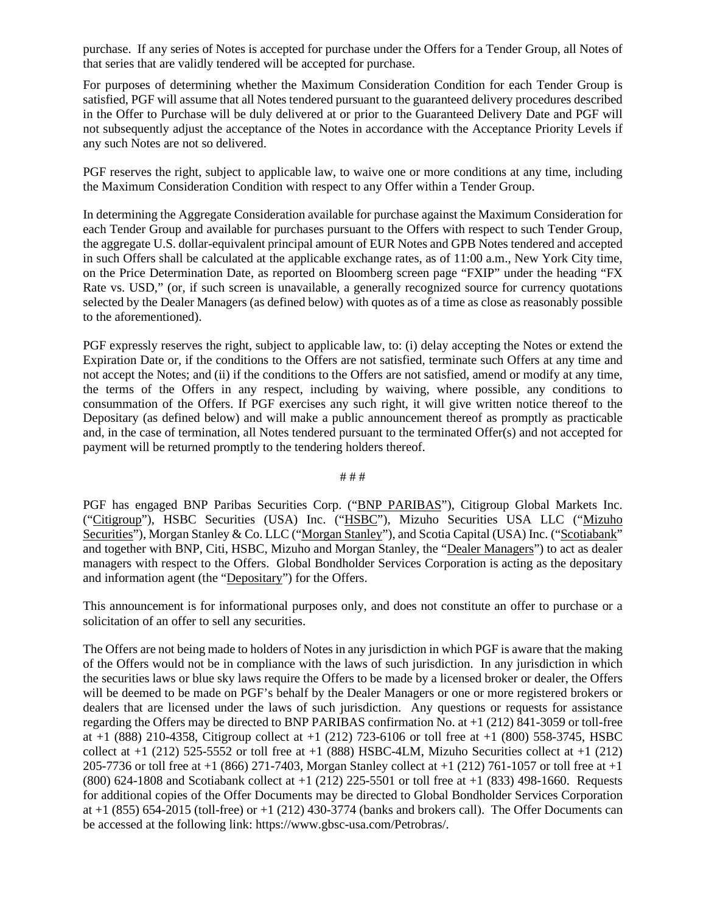purchase. If any series of Notes is accepted for purchase under the Offers for a Tender Group, all Notes of that series that are validly tendered will be accepted for purchase.

For purposes of determining whether the Maximum Consideration Condition for each Tender Group is satisfied, PGF will assume that all Notes tendered pursuant to the guaranteed delivery procedures described in the Offer to Purchase will be duly delivered at or prior to the Guaranteed Delivery Date and PGF will not subsequently adjust the acceptance of the Notes in accordance with the Acceptance Priority Levels if any such Notes are not so delivered.

PGF reserves the right, subject to applicable law, to waive one or more conditions at any time, including the Maximum Consideration Condition with respect to any Offer within a Tender Group.

In determining the Aggregate Consideration available for purchase against the Maximum Consideration for each Tender Group and available for purchases pursuant to the Offers with respect to such Tender Group, the aggregate U.S. dollar-equivalent principal amount of EUR Notes and GPB Notes tendered and accepted in such Offers shall be calculated at the applicable exchange rates, as of 11:00 a.m., New York City time, on the Price Determination Date, as reported on Bloomberg screen page "FXIP" under the heading "FX Rate vs. USD," (or, if such screen is unavailable, a generally recognized source for currency quotations selected by the Dealer Managers (as defined below) with quotes as of a time as close as reasonably possible to the aforementioned).

PGF expressly reserves the right, subject to applicable law, to: (i) delay accepting the Notes or extend the Expiration Date or, if the conditions to the Offers are not satisfied, terminate such Offers at any time and not accept the Notes; and (ii) if the conditions to the Offers are not satisfied, amend or modify at any time, the terms of the Offers in any respect, including by waiving, where possible, any conditions to consummation of the Offers. If PGF exercises any such right, it will give written notice thereof to the Depositary (as defined below) and will make a public announcement thereof as promptly as practicable and, in the case of termination, all Notes tendered pursuant to the terminated Offer(s) and not accepted for payment will be returned promptly to the tendering holders thereof.

# # #

PGF has engaged BNP Paribas Securities Corp. ("BNP PARIBAS"), Citigroup Global Markets Inc. ("Citigroup"), HSBC Securities (USA) Inc. ("HSBC"), Mizuho Securities USA LLC ("Mizuho Securities"), Morgan Stanley & Co. LLC ("Morgan Stanley"), and Scotia Capital (USA) Inc. ("Scotiabank" and together with BNP, Citi, HSBC, Mizuho and Morgan Stanley, the "Dealer Managers") to act as dealer managers with respect to the Offers. Global Bondholder Services Corporation is acting as the depositary and information agent (the "Depositary") for the Offers.

This announcement is for informational purposes only, and does not constitute an offer to purchase or a solicitation of an offer to sell any securities.

The Offers are not being made to holders of Notes in any jurisdiction in which PGF is aware that the making of the Offers would not be in compliance with the laws of such jurisdiction. In any jurisdiction in which the securities laws or blue sky laws require the Offers to be made by a licensed broker or dealer, the Offers will be deemed to be made on PGF's behalf by the Dealer Managers or one or more registered brokers or dealers that are licensed under the laws of such jurisdiction. Any questions or requests for assistance regarding the Offers may be directed to BNP PARIBAS confirmation No. at +1 (212) 841-3059 or toll-free at  $+1$  (888) 210-4358, Citigroup collect at  $+1$  (212) 723-6106 or toll free at  $+1$  (800) 558-3745, HSBC collect at  $+1$  (212) 525-5552 or toll free at  $+1$  (888) HSBC-4LM, Mizuho Securities collect at  $+1$  (212) 205-7736 or toll free at +1 (866) 271-7403, Morgan Stanley collect at +1 (212) 761-1057 or toll free at +1 (800) 624-1808 and Scotiabank collect at  $+1$  (212) 225-5501 or toll free at  $+1$  (833) 498-1660. Requests for additional copies of the Offer Documents may be directed to Global Bondholder Services Corporation at  $+1$  (855) 654-2015 (toll-free) or  $+1$  (212) 430-3774 (banks and brokers call). The Offer Documents can be accessed at the following link: https://www.gbsc-usa.com/Petrobras/.